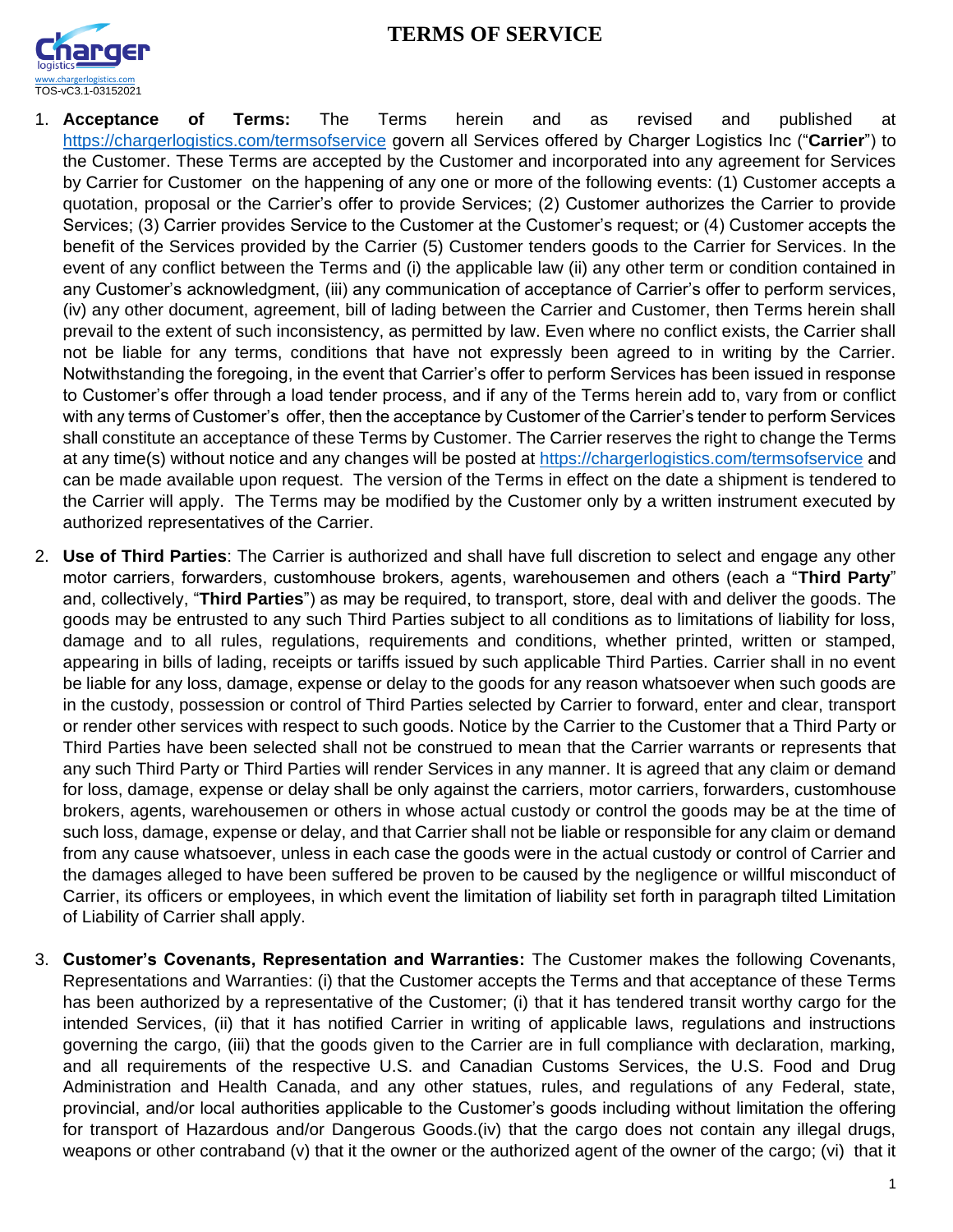## **TERMS OF SERVICE**



- 1. **Acceptance of Terms:** The Terms herein and as revised and published at <https://chargerlogistics.com/termsofservice> govern all Services offered by Charger Logistics Inc ("**Carrier**") to the Customer. These Terms are accepted by the Customer and incorporated into any agreement for Services by Carrier for Customer on the happening of any one or more of the following events: (1) Customer accepts a quotation, proposal or the Carrier's offer to provide Services; (2) Customer authorizes the Carrier to provide Services; (3) Carrier provides Service to the Customer at the Customer's request; or (4) Customer accepts the benefit of the Services provided by the Carrier (5) Customer tenders goods to the Carrier for Services. In the event of any conflict between the Terms and (i) the applicable law (ii) any other term or condition contained in any Customer's acknowledgment, (iii) any communication of acceptance of Carrier's offer to perform services, (iv) any other document, agreement, bill of lading between the Carrier and Customer, then Terms herein shall prevail to the extent of such inconsistency, as permitted by law. Even where no conflict exists, the Carrier shall not be liable for any terms, conditions that have not expressly been agreed to in writing by the Carrier. Notwithstanding the foregoing, in the event that Carrier's offer to perform Services has been issued in response to Customer's offer through a load tender process, and if any of the Terms herein add to, vary from or conflict with any terms of Customer's offer, then the acceptance by Customer of the Carrier's tender to perform Services shall constitute an acceptance of these Terms by Customer. The Carrier reserves the right to change the Terms at any time(s) without notice and any changes will be posted at<https://chargerlogistics.com/termsofservice> and can be made available upon request. The version of the Terms in effect on the date a shipment is tendered to the Carrier will apply. The Terms may be modified by the Customer only by a written instrument executed by authorized representatives of the Carrier.
- 2. **Use of Third Parties**: The Carrier is authorized and shall have full discretion to select and engage any other motor carriers, forwarders, customhouse brokers, agents, warehousemen and others (each a "**Third Party**" and, collectively, "**Third Parties**") as may be required, to transport, store, deal with and deliver the goods. The goods may be entrusted to any such Third Parties subject to all conditions as to limitations of liability for loss, damage and to all rules, regulations, requirements and conditions, whether printed, written or stamped, appearing in bills of lading, receipts or tariffs issued by such applicable Third Parties. Carrier shall in no event be liable for any loss, damage, expense or delay to the goods for any reason whatsoever when such goods are in the custody, possession or control of Third Parties selected by Carrier to forward, enter and clear, transport or render other services with respect to such goods. Notice by the Carrier to the Customer that a Third Party or Third Parties have been selected shall not be construed to mean that the Carrier warrants or represents that any such Third Party or Third Parties will render Services in any manner. It is agreed that any claim or demand for loss, damage, expense or delay shall be only against the carriers, motor carriers, forwarders, customhouse brokers, agents, warehousemen or others in whose actual custody or control the goods may be at the time of such loss, damage, expense or delay, and that Carrier shall not be liable or responsible for any claim or demand from any cause whatsoever, unless in each case the goods were in the actual custody or control of Carrier and the damages alleged to have been suffered be proven to be caused by the negligence or willful misconduct of Carrier, its officers or employees, in which event the limitation of liability set forth in paragraph tilted Limitation of Liability of Carrier shall apply.
- 3. **Customer's Covenants, Representation and Warranties:** The Customer makes the following Covenants, Representations and Warranties: (i) that the Customer accepts the Terms and that acceptance of these Terms has been authorized by a representative of the Customer; (i) that it has tendered transit worthy cargo for the intended Services, (ii) that it has notified Carrier in writing of applicable laws, regulations and instructions governing the cargo, (iii) that the goods given to the Carrier are in full compliance with declaration, marking, and all requirements of the respective U.S. and Canadian Customs Services, the U.S. Food and Drug Administration and Health Canada, and any other statues, rules, and regulations of any Federal, state, provincial, and/or local authorities applicable to the Customer's goods including without limitation the offering for transport of Hazardous and/or Dangerous Goods.(iv) that the cargo does not contain any illegal drugs, weapons or other contraband (v) that it the owner or the authorized agent of the owner of the cargo; (vi) that it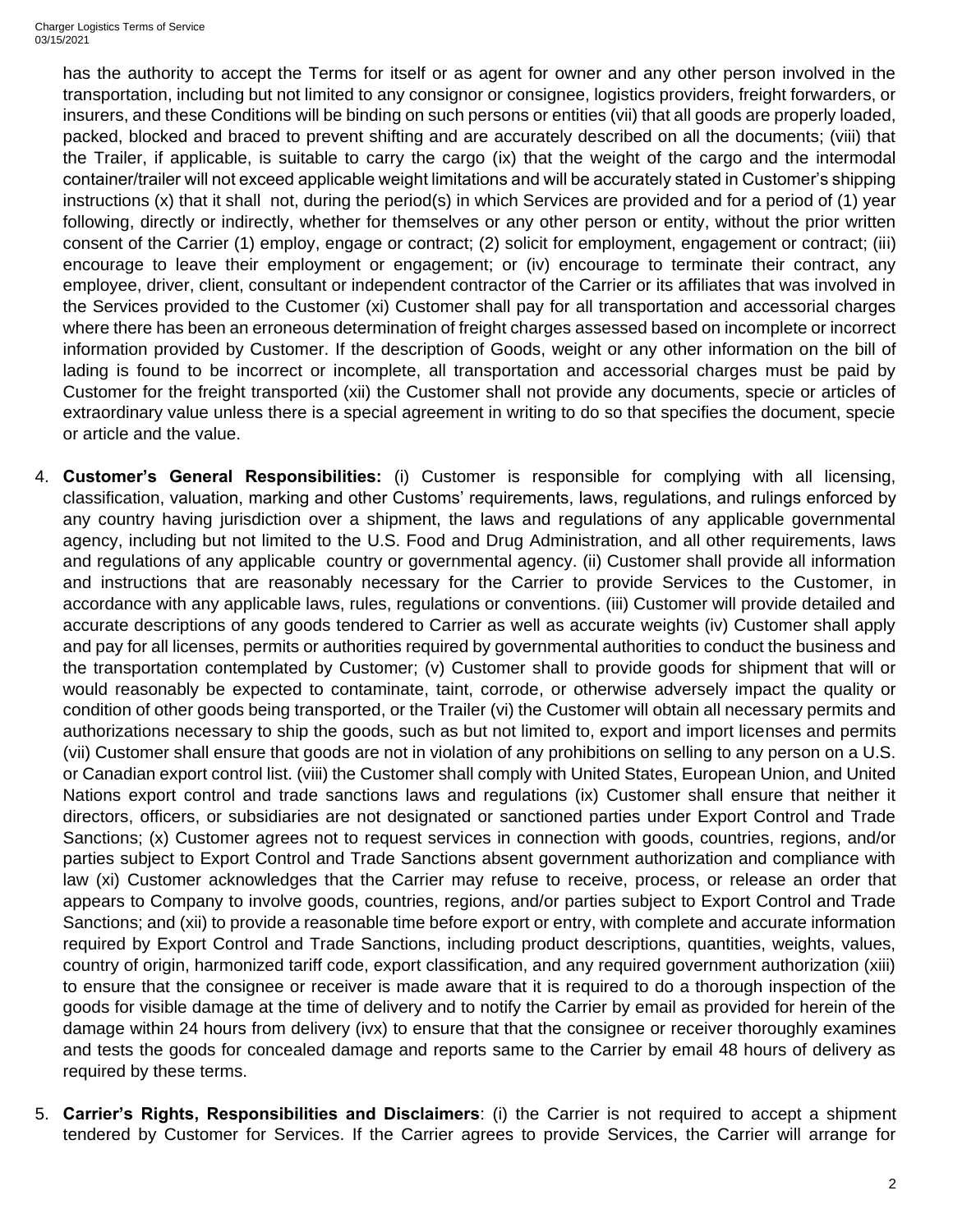Charger Logistics Terms of Service 03/15/2021

> has the authority to accept the Terms for itself or as agent for owner and any other person involved in the transportation, including but not limited to any consignor or consignee, logistics providers, freight forwarders, or insurers, and these Conditions will be binding on such persons or entities (vii) that all goods are properly loaded, packed, blocked and braced to prevent shifting and are accurately described on all the documents; (viii) that the Trailer, if applicable, is suitable to carry the cargo (ix) that the weight of the cargo and the intermodal container/trailer will not exceed applicable weight limitations and will be accurately stated in Customer's shipping instructions (x) that it shall not, during the period(s) in which Services are provided and for a period of (1) year following, directly or indirectly, whether for themselves or any other person or entity, without the prior written consent of the Carrier (1) employ, engage or contract; (2) solicit for employment, engagement or contract; (iii) encourage to leave their employment or engagement; or (iv) encourage to terminate their contract, any employee, driver, client, consultant or independent contractor of the Carrier or its affiliates that was involved in the Services provided to the Customer (xi) Customer shall pay for all transportation and accessorial charges where there has been an erroneous determination of freight charges assessed based on incomplete or incorrect information provided by Customer. If the description of Goods, weight or any other information on the bill of lading is found to be incorrect or incomplete, all transportation and accessorial charges must be paid by Customer for the freight transported (xii) the Customer shall not provide any documents, specie or articles of extraordinary value unless there is a special agreement in writing to do so that specifies the document, specie or article and the value.

- 4. **Customer's General Responsibilities:** (i) Customer is responsible for complying with all licensing, classification, valuation, marking and other Customs' requirements, laws, regulations, and rulings enforced by any country having jurisdiction over a shipment, the laws and regulations of any applicable governmental agency, including but not limited to the U.S. Food and Drug Administration, and all other requirements, laws and regulations of any applicable country or governmental agency. (ii) Customer shall provide all information and instructions that are reasonably necessary for the Carrier to provide Services to the Customer, in accordance with any applicable laws, rules, regulations or conventions. (iii) Customer will provide detailed and accurate descriptions of any goods tendered to Carrier as well as accurate weights (iv) Customer shall apply and pay for all licenses, permits or authorities required by governmental authorities to conduct the business and the transportation contemplated by Customer; (v) Customer shall to provide goods for shipment that will or would reasonably be expected to contaminate, taint, corrode, or otherwise adversely impact the quality or condition of other goods being transported, or the Trailer (vi) the Customer will obtain all necessary permits and authorizations necessary to ship the goods, such as but not limited to, export and import licenses and permits (vii) Customer shall ensure that goods are not in violation of any prohibitions on selling to any person on a U.S. or Canadian export control list. (viii) the Customer shall comply with United States, European Union, and United Nations export control and trade sanctions laws and regulations (ix) Customer shall ensure that neither it directors, officers, or subsidiaries are not designated or sanctioned parties under Export Control and Trade Sanctions; (x) Customer agrees not to request services in connection with goods, countries, regions, and/or parties subject to Export Control and Trade Sanctions absent government authorization and compliance with law (xi) Customer acknowledges that the Carrier may refuse to receive, process, or release an order that appears to Company to involve goods, countries, regions, and/or parties subject to Export Control and Trade Sanctions; and (xii) to provide a reasonable time before export or entry, with complete and accurate information required by Export Control and Trade Sanctions, including product descriptions, quantities, weights, values, country of origin, harmonized tariff code, export classification, and any required government authorization (xiii) to ensure that the consignee or receiver is made aware that it is required to do a thorough inspection of the goods for visible damage at the time of delivery and to notify the Carrier by email as provided for herein of the damage within 24 hours from delivery (ivx) to ensure that that the consignee or receiver thoroughly examines and tests the goods for concealed damage and reports same to the Carrier by email 48 hours of delivery as required by these terms.
- 5. **Carrier's Rights, Responsibilities and Disclaimers**: (i) the Carrier is not required to accept a shipment tendered by Customer for Services. If the Carrier agrees to provide Services, the Carrier will arrange for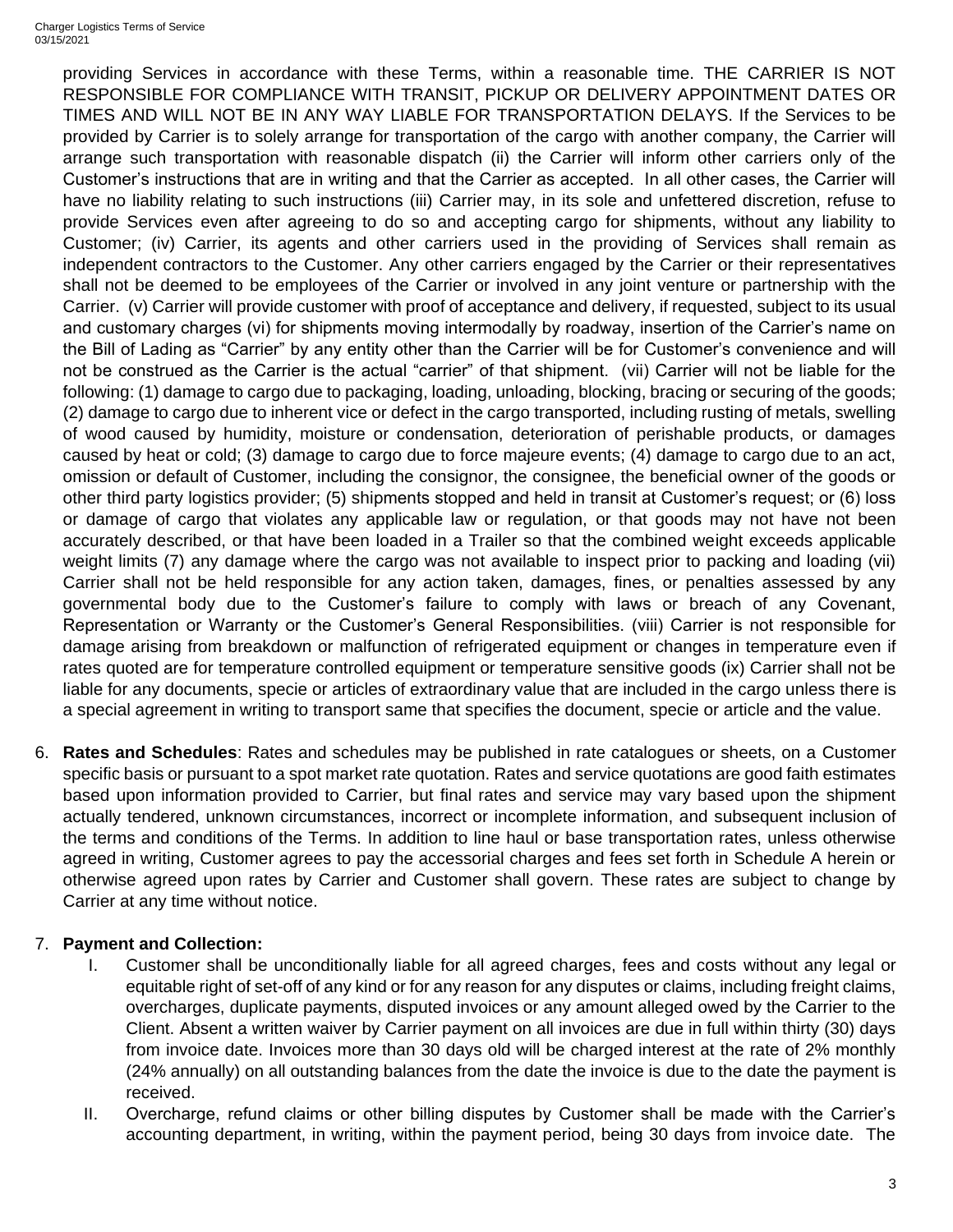providing Services in accordance with these Terms, within a reasonable time. THE CARRIER IS NOT RESPONSIBLE FOR COMPLIANCE WITH TRANSIT, PICKUP OR DELIVERY APPOINTMENT DATES OR TIMES AND WILL NOT BE IN ANY WAY LIABLE FOR TRANSPORTATION DELAYS. If the Services to be provided by Carrier is to solely arrange for transportation of the cargo with another company, the Carrier will arrange such transportation with reasonable dispatch (ii) the Carrier will inform other carriers only of the Customer's instructions that are in writing and that the Carrier as accepted. In all other cases, the Carrier will have no liability relating to such instructions (iii) Carrier may, in its sole and unfettered discretion, refuse to provide Services even after agreeing to do so and accepting cargo for shipments, without any liability to Customer; (iv) Carrier, its agents and other carriers used in the providing of Services shall remain as independent contractors to the Customer. Any other carriers engaged by the Carrier or their representatives shall not be deemed to be employees of the Carrier or involved in any joint venture or partnership with the Carrier. (v) Carrier will provide customer with proof of acceptance and delivery, if requested, subject to its usual and customary charges (vi) for shipments moving intermodally by roadway, insertion of the Carrier's name on the Bill of Lading as "Carrier" by any entity other than the Carrier will be for Customer's convenience and will not be construed as the Carrier is the actual "carrier" of that shipment. (vii) Carrier will not be liable for the following: (1) damage to cargo due to packaging, loading, unloading, blocking, bracing or securing of the goods; (2) damage to cargo due to inherent vice or defect in the cargo transported, including rusting of metals, swelling of wood caused by humidity, moisture or condensation, deterioration of perishable products, or damages caused by heat or cold; (3) damage to cargo due to force majeure events; (4) damage to cargo due to an act, omission or default of Customer, including the consignor, the consignee, the beneficial owner of the goods or other third party logistics provider; (5) shipments stopped and held in transit at Customer's request; or (6) loss or damage of cargo that violates any applicable law or regulation, or that goods may not have not been accurately described, or that have been loaded in a Trailer so that the combined weight exceeds applicable weight limits (7) any damage where the cargo was not available to inspect prior to packing and loading (vii) Carrier shall not be held responsible for any action taken, damages, fines, or penalties assessed by any governmental body due to the Customer's failure to comply with laws or breach of any Covenant, Representation or Warranty or the Customer's General Responsibilities. (viii) Carrier is not responsible for damage arising from breakdown or malfunction of refrigerated equipment or changes in temperature even if rates quoted are for temperature controlled equipment or temperature sensitive goods (ix) Carrier shall not be liable for any documents, specie or articles of extraordinary value that are included in the cargo unless there is a special agreement in writing to transport same that specifies the document, specie or article and the value.

6. **Rates and Schedules**: Rates and schedules may be published in rate catalogues or sheets, on a Customer specific basis or pursuant to a spot market rate quotation. Rates and service quotations are good faith estimates based upon information provided to Carrier, but final rates and service may vary based upon the shipment actually tendered, unknown circumstances, incorrect or incomplete information, and subsequent inclusion of the terms and conditions of the Terms. In addition to line haul or base transportation rates, unless otherwise agreed in writing, Customer agrees to pay the accessorial charges and fees set forth in Schedule A herein or otherwise agreed upon rates by Carrier and Customer shall govern. These rates are subject to change by Carrier at any time without notice.

## 7. **Payment and Collection:**

- I. Customer shall be unconditionally liable for all agreed charges, fees and costs without any legal or equitable right of set-off of any kind or for any reason for any disputes or claims, including freight claims, overcharges, duplicate payments, disputed invoices or any amount alleged owed by the Carrier to the Client. Absent a written waiver by Carrier payment on all invoices are due in full within thirty (30) days from invoice date. Invoices more than 30 days old will be charged interest at the rate of 2% monthly (24% annually) on all outstanding balances from the date the invoice is due to the date the payment is received.
- II. Overcharge, refund claims or other billing disputes by Customer shall be made with the Carrier's accounting department, in writing, within the payment period, being 30 days from invoice date. The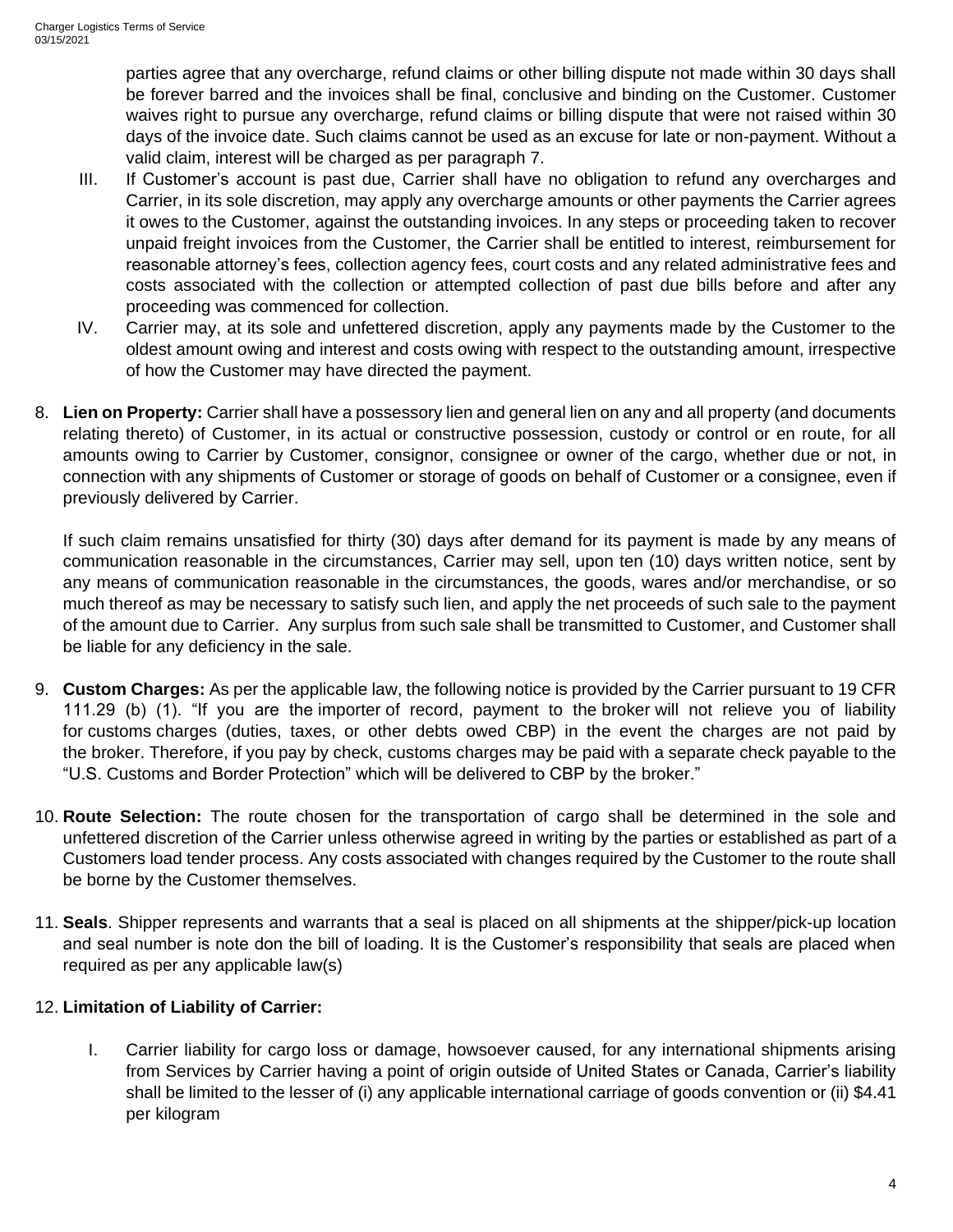parties agree that any overcharge, refund claims or other billing dispute not made within 30 days shall be forever barred and the invoices shall be final, conclusive and binding on the Customer. Customer waives right to pursue any overcharge, refund claims or billing dispute that were not raised within 30 days of the invoice date. Such claims cannot be used as an excuse for late or non-payment. Without a valid claim, interest will be charged as per paragraph 7.

- III. If Customer's account is past due, Carrier shall have no obligation to refund any overcharges and Carrier, in its sole discretion, may apply any overcharge amounts or other payments the Carrier agrees it owes to the Customer, against the outstanding invoices. In any steps or proceeding taken to recover unpaid freight invoices from the Customer, the Carrier shall be entitled to interest, reimbursement for reasonable attorney's fees, collection agency fees, court costs and any related administrative fees and costs associated with the collection or attempted collection of past due bills before and after any proceeding was commenced for collection.
- IV. Carrier may, at its sole and unfettered discretion, apply any payments made by the Customer to the oldest amount owing and interest and costs owing with respect to the outstanding amount, irrespective of how the Customer may have directed the payment.
- 8. **Lien on Property:** Carrier shall have a possessory lien and general lien on any and all property (and documents relating thereto) of Customer, in its actual or constructive possession, custody or control or en route, for all amounts owing to Carrier by Customer, consignor, consignee or owner of the cargo, whether due or not, in connection with any shipments of Customer or storage of goods on behalf of Customer or a consignee, even if previously delivered by Carrier.

If such claim remains unsatisfied for thirty (30) days after demand for its payment is made by any means of communication reasonable in the circumstances, Carrier may sell, upon ten (10) days written notice, sent by any means of communication reasonable in the circumstances, the goods, wares and/or merchandise, or so much thereof as may be necessary to satisfy such lien, and apply the net proceeds of such sale to the payment of the amount due to Carrier. Any surplus from such sale shall be transmitted to Customer, and Customer shall be liable for any deficiency in the sale.

- 9. **Custom Charges:** As per the applicable law, the following notice is provided by the Carrier pursuant to 19 CFR 111.29 (b) (1). "If you are the [importer](https://www.law.cornell.edu/definitions/index.php?width=840&height=800&iframe=true&def_id=1353e2aab0e641802e40423218387ee6&term_occur=1&term_src=Title:19:Chapter:I:Part:111:Subpart:C:111.29) of record, payment to the [broker](https://www.law.cornell.edu/definitions/index.php?width=840&height=800&iframe=true&def_id=2815326cf3b7284f8df1703bd6714e2e&term_occur=10&term_src=Title:19:Chapter:I:Part:111:Subpart:C:111.29) will not relieve you of liability for [customs](https://www.law.cornell.edu/definitions/index.php?width=840&height=800&iframe=true&def_id=e8b157555d1819602a1d0cbc89e839c2&term_occur=1&term_src=Title:19:Chapter:I:Part:111:Subpart:C:111.29) charges (duties, taxes, or other debts owed CBP) in the event the charges are not paid by the [broker.](https://www.law.cornell.edu/definitions/index.php?width=840&height=800&iframe=true&def_id=2815326cf3b7284f8df1703bd6714e2e&term_occur=11&term_src=Title:19:Chapter:I:Part:111:Subpart:C:111.29) Therefore, if you pay by check, [customs](https://www.law.cornell.edu/definitions/index.php?width=840&height=800&iframe=true&def_id=e8b157555d1819602a1d0cbc89e839c2&term_occur=2&term_src=Title:19:Chapter:I:Part:111:Subpart:C:111.29) charges may be paid with a separate check payable to the "U.S. [Customs](https://www.law.cornell.edu/definitions/index.php?width=840&height=800&iframe=true&def_id=e8b157555d1819602a1d0cbc89e839c2&term_occur=3&term_src=Title:19:Chapter:I:Part:111:Subpart:C:111.29) and Border Protection" which will be delivered to CBP by the [broker.](https://www.law.cornell.edu/definitions/index.php?width=840&height=800&iframe=true&def_id=2815326cf3b7284f8df1703bd6714e2e&term_occur=12&term_src=Title:19:Chapter:I:Part:111:Subpart:C:111.29)"
- 10. **Route Selection:** The route chosen for the transportation of cargo shall be determined in the sole and unfettered discretion of the Carrier unless otherwise agreed in writing by the parties or established as part of a Customers load tender process. Any costs associated with changes required by the Customer to the route shall be borne by the Customer themselves.
- 11. **Seals**. Shipper represents and warrants that a seal is placed on all shipments at the shipper/pick-up location and seal number is note don the bill of loading. It is the Customer's responsibility that seals are placed when required as per any applicable law(s)

## 12. **Limitation of Liability of Carrier:**

I. Carrier liability for cargo loss or damage, howsoever caused, for any international shipments arising from Services by Carrier having a point of origin outside of United States or Canada, Carrier's liability shall be limited to the lesser of (i) any applicable international carriage of goods convention or (ii) \$4.41 per kilogram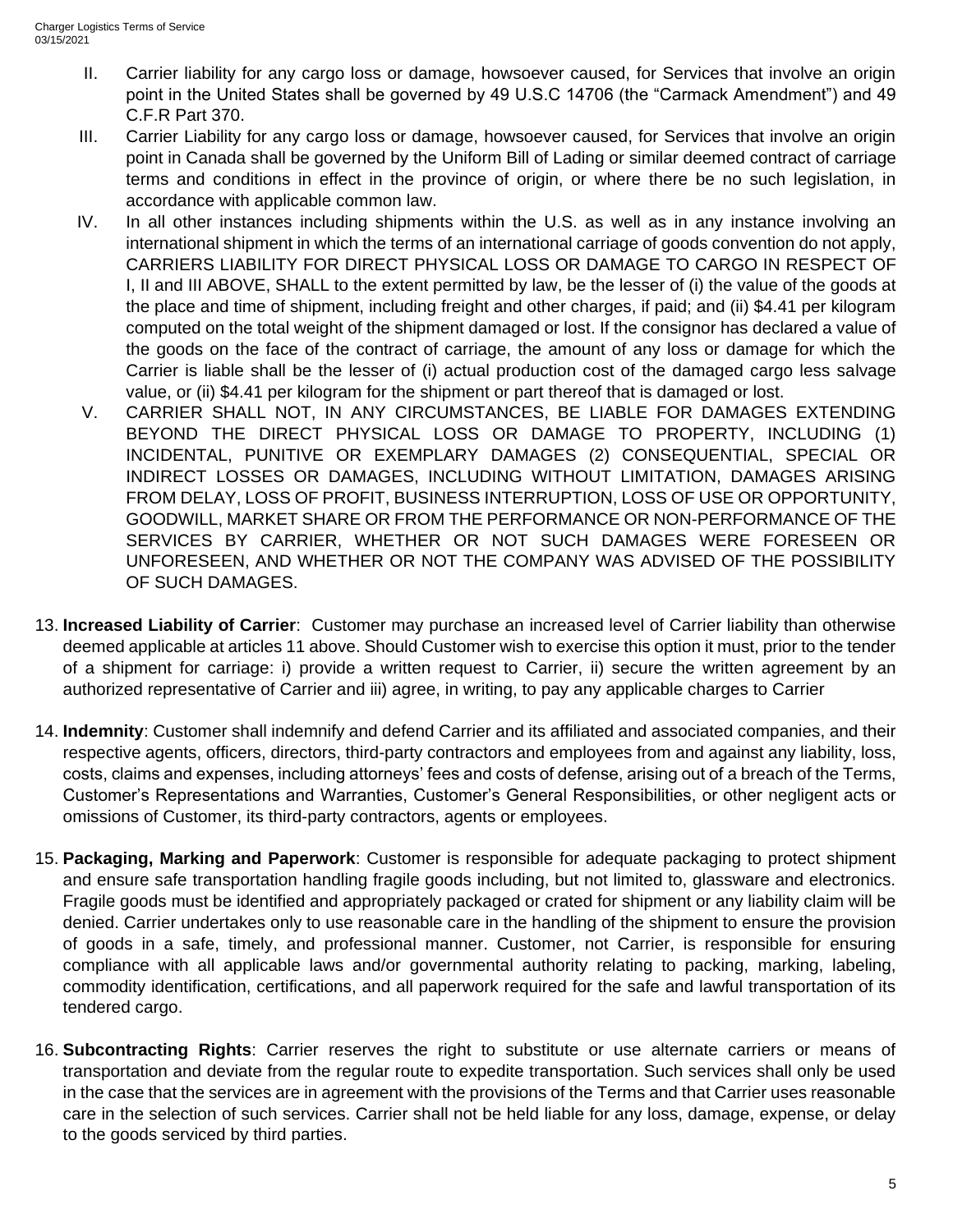- II. Carrier liability for any cargo loss or damage, howsoever caused, for Services that involve an origin point in the United States shall be governed by 49 U.S.C 14706 (the "Carmack Amendment") and 49 C.F.R Part 370.
- III. Carrier Liability for any cargo loss or damage, howsoever caused, for Services that involve an origin point in Canada shall be governed by the Uniform Bill of Lading or similar deemed contract of carriage terms and conditions in effect in the province of origin, or where there be no such legislation, in accordance with applicable common law.
- IV. In all other instances including shipments within the U.S. as well as in any instance involving an international shipment in which the terms of an international carriage of goods convention do not apply, CARRIERS LIABILITY FOR DIRECT PHYSICAL LOSS OR DAMAGE TO CARGO IN RESPECT OF I, II and III ABOVE, SHALL to the extent permitted by law, be the lesser of (i) the value of the goods at the place and time of shipment, including freight and other charges, if paid; and (ii) \$4.41 per kilogram computed on the total weight of the shipment damaged or lost. If the consignor has declared a value of the goods on the face of the contract of carriage, the amount of any loss or damage for which the Carrier is liable shall be the lesser of (i) actual production cost of the damaged cargo less salvage value, or (ii) \$4.41 per kilogram for the shipment or part thereof that is damaged or lost.
- V. CARRIER SHALL NOT, IN ANY CIRCUMSTANCES, BE LIABLE FOR DAMAGES EXTENDING BEYOND THE DIRECT PHYSICAL LOSS OR DAMAGE TO PROPERTY, INCLUDING (1) INCIDENTAL, PUNITIVE OR EXEMPLARY DAMAGES (2) CONSEQUENTIAL, SPECIAL OR INDIRECT LOSSES OR DAMAGES, INCLUDING WITHOUT LIMITATION, DAMAGES ARISING FROM DELAY, LOSS OF PROFIT, BUSINESS INTERRUPTION, LOSS OF USE OR OPPORTUNITY, GOODWILL, MARKET SHARE OR FROM THE PERFORMANCE OR NON-PERFORMANCE OF THE SERVICES BY CARRIER, WHETHER OR NOT SUCH DAMAGES WERE FORESEEN OR UNFORESEEN, AND WHETHER OR NOT THE COMPANY WAS ADVISED OF THE POSSIBILITY OF SUCH DAMAGES.
- 13. **Increased Liability of Carrier**: Customer may purchase an increased level of Carrier liability than otherwise deemed applicable at articles 11 above. Should Customer wish to exercise this option it must, prior to the tender of a shipment for carriage: i) provide a written request to Carrier, ii) secure the written agreement by an authorized representative of Carrier and iii) agree, in writing, to pay any applicable charges to Carrier
- 14. **Indemnity**: Customer shall indemnify and defend Carrier and its affiliated and associated companies, and their respective agents, officers, directors, third-party contractors and employees from and against any liability, loss, costs, claims and expenses, including attorneys' fees and costs of defense, arising out of a breach of the Terms, Customer's Representations and Warranties, Customer's General Responsibilities, or other negligent acts or omissions of Customer, its third-party contractors, agents or employees.
- 15. **Packaging, Marking and Paperwork**: Customer is responsible for adequate packaging to protect shipment and ensure safe transportation handling fragile goods including, but not limited to, glassware and electronics. Fragile goods must be identified and appropriately packaged or crated for shipment or any liability claim will be denied. Carrier undertakes only to use reasonable care in the handling of the shipment to ensure the provision of goods in a safe, timely, and professional manner. Customer, not Carrier, is responsible for ensuring compliance with all applicable laws and/or governmental authority relating to packing, marking, labeling, commodity identification, certifications, and all paperwork required for the safe and lawful transportation of its tendered cargo.
- 16. **Subcontracting Rights**: Carrier reserves the right to substitute or use alternate carriers or means of transportation and deviate from the regular route to expedite transportation. Such services shall only be used in the case that the services are in agreement with the provisions of the Terms and that Carrier uses reasonable care in the selection of such services. Carrier shall not be held liable for any loss, damage, expense, or delay to the goods serviced by third parties.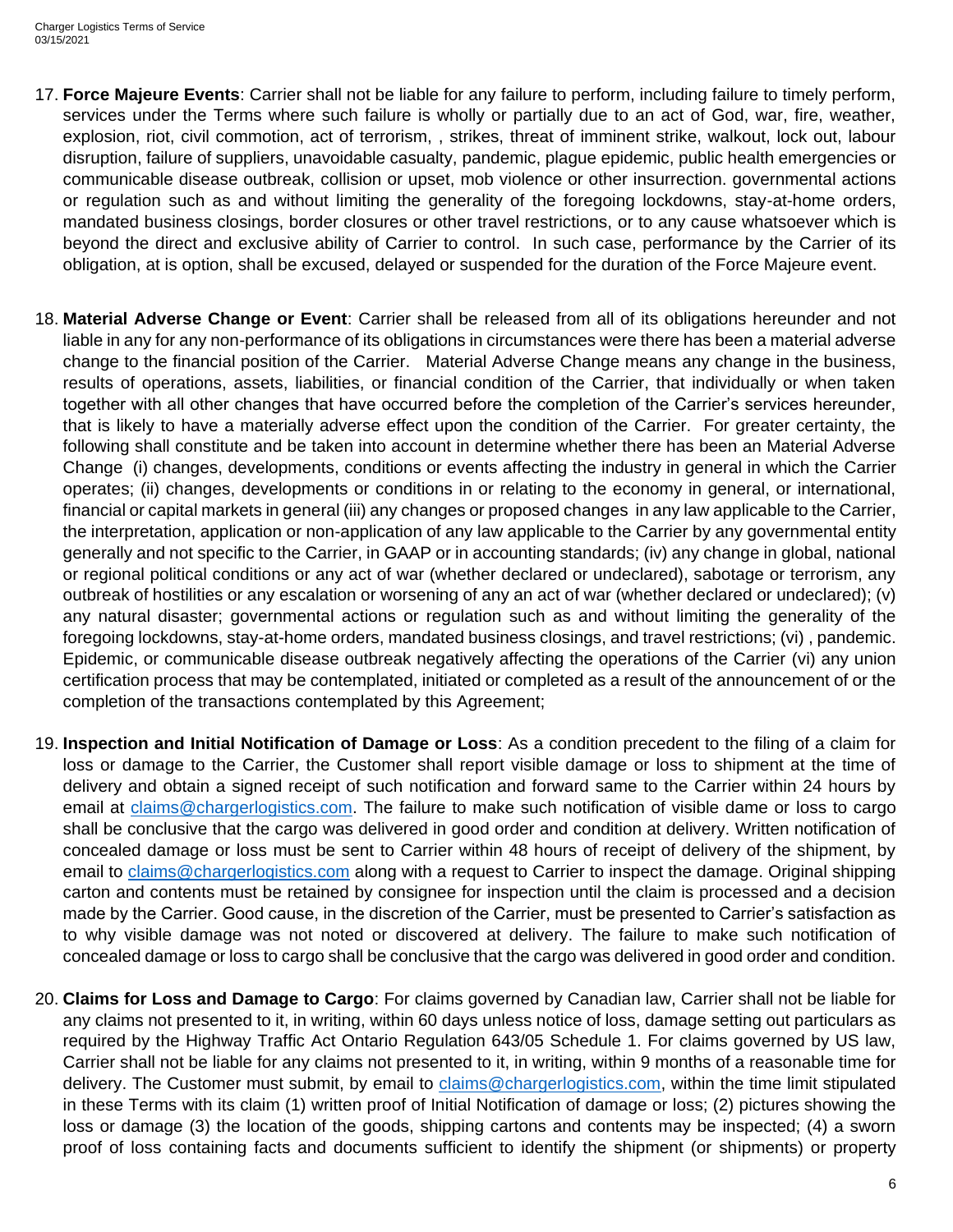- 17. **Force Majeure Events**: Carrier shall not be liable for any failure to perform, including failure to timely perform, services under the Terms where such failure is wholly or partially due to an act of God, war, fire, weather, explosion, riot, civil commotion, act of terrorism, , strikes, threat of imminent strike, walkout, lock out, labour disruption, failure of suppliers, unavoidable casualty, pandemic, plague epidemic, public health emergencies or communicable disease outbreak, collision or upset, mob violence or other insurrection. governmental actions or regulation such as and without limiting the generality of the foregoing lockdowns, stay-at-home orders, mandated business closings, border closures or other travel restrictions, or to any cause whatsoever which is beyond the direct and exclusive ability of Carrier to control. In such case, performance by the Carrier of its obligation, at is option, shall be excused, delayed or suspended for the duration of the Force Majeure event.
- 18. **Material Adverse Change or Event**: Carrier shall be released from all of its obligations hereunder and not liable in any for any non-performance of its obligations in circumstances were there has been a material adverse change to the financial position of the Carrier. Material Adverse Change means any change in the business, results of operations, assets, liabilities, or financial condition of the Carrier, that individually or when taken together with all other changes that have occurred before the completion of the Carrier's services hereunder, that is likely to have a materially adverse effect upon the condition of the Carrier. For greater certainty, the following shall constitute and be taken into account in determine whether there has been an Material Adverse Change (i) changes, developments, conditions or events affecting the industry in general in which the Carrier operates; (ii) changes, developments or conditions in or relating to the economy in general, or international, financial or capital markets in general (iii) any changes or proposed changes in any law applicable to the Carrier, the interpretation, application or non-application of any law applicable to the Carrier by any governmental entity generally and not specific to the Carrier, in GAAP or in accounting standards; (iv) any change in global, national or regional political conditions or any act of war (whether declared or undeclared), sabotage or terrorism, any outbreak of hostilities or any escalation or worsening of any an act of war (whether declared or undeclared); (v) any natural disaster; governmental actions or regulation such as and without limiting the generality of the foregoing lockdowns, stay-at-home orders, mandated business closings, and travel restrictions; (vi) , pandemic. Epidemic, or communicable disease outbreak negatively affecting the operations of the Carrier (vi) any union certification process that may be contemplated, initiated or completed as a result of the announcement of or the completion of the transactions contemplated by this Agreement;
- 19. **Inspection and Initial Notification of Damage or Loss**: As a condition precedent to the filing of a claim for loss or damage to the Carrier, the Customer shall report visible damage or loss to shipment at the time of delivery and obtain a signed receipt of such notification and forward same to the Carrier within 24 hours by email at [claims@chargerlogistics.com.](mailto:claims@chargerlogistics.com) The failure to make such notification of visible dame or loss to cargo shall be conclusive that the cargo was delivered in good order and condition at delivery. Written notification of concealed damage or loss must be sent to Carrier within 48 hours of receipt of delivery of the shipment, by email to [claims@chargerlogistics.com](mailto:claims@chargerlogistics.com) along with a request to Carrier to inspect the damage. Original shipping carton and contents must be retained by consignee for inspection until the claim is processed and a decision made by the Carrier. Good cause, in the discretion of the Carrier, must be presented to Carrier's satisfaction as to why visible damage was not noted or discovered at delivery. The failure to make such notification of concealed damage or loss to cargo shall be conclusive that the cargo was delivered in good order and condition.
- 20. **Claims for Loss and Damage to Cargo**: For claims governed by Canadian law, Carrier shall not be liable for any claims not presented to it, in writing, within 60 days unless notice of loss, damage setting out particulars as required by the Highway Traffic Act Ontario Regulation 643/05 Schedule 1. For claims governed by US law, Carrier shall not be liable for any claims not presented to it, in writing, within 9 months of a reasonable time for delivery. The Customer must submit, by email to [claims@chargerlogistics.com,](mailto:claims@chargerlogistics.com) within the time limit stipulated in these Terms with its claim (1) written proof of Initial Notification of damage or loss; (2) pictures showing the loss or damage (3) the location of the goods, shipping cartons and contents may be inspected; (4) a sworn proof of loss containing facts and documents sufficient to identify the shipment (or shipments) or property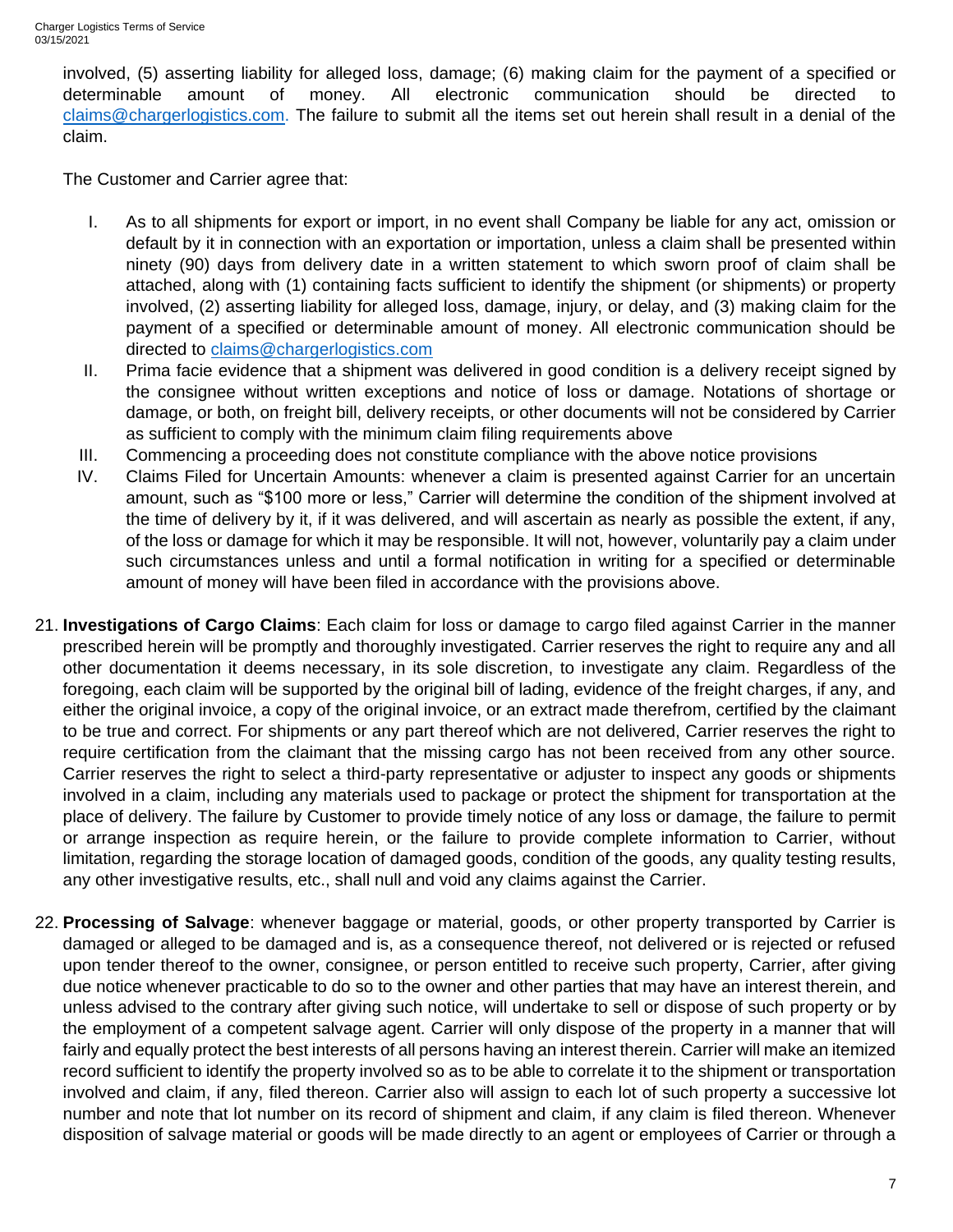involved, (5) asserting liability for alleged loss, damage; (6) making claim for the payment of a specified or determinable amount of money. All electronic communication should be directed to [claims@chargerlogistics.com.](mailto:claims@chargerlogistics.com) The failure to submit all the items set out herein shall result in a denial of the claim.

The Customer and Carrier agree that:

- I. As to all shipments for export or import, in no event shall Company be liable for any act, omission or default by it in connection with an exportation or importation, unless a claim shall be presented within ninety (90) days from delivery date in a written statement to which sworn proof of claim shall be attached, along with (1) containing facts sufficient to identify the shipment (or shipments) or property involved, (2) asserting liability for alleged loss, damage, injury, or delay, and (3) making claim for the payment of a specified or determinable amount of money. All electronic communication should be directed to [claims@chargerlogistics.com](mailto:claims@chargerlogistics.com)
- II. Prima facie evidence that a shipment was delivered in good condition is a delivery receipt signed by the consignee without written exceptions and notice of loss or damage. Notations of shortage or damage, or both, on freight bill, delivery receipts, or other documents will not be considered by Carrier as sufficient to comply with the minimum claim filing requirements above
- III. Commencing a proceeding does not constitute compliance with the above notice provisions
- IV. Claims Filed for Uncertain Amounts: whenever a claim is presented against Carrier for an uncertain amount, such as "\$100 more or less," Carrier will determine the condition of the shipment involved at the time of delivery by it, if it was delivered, and will ascertain as nearly as possible the extent, if any, of the loss or damage for which it may be responsible. It will not, however, voluntarily pay a claim under such circumstances unless and until a formal notification in writing for a specified or determinable amount of money will have been filed in accordance with the provisions above.
- 21. **Investigations of Cargo Claims**: Each claim for loss or damage to cargo filed against Carrier in the manner prescribed herein will be promptly and thoroughly investigated. Carrier reserves the right to require any and all other documentation it deems necessary, in its sole discretion, to investigate any claim. Regardless of the foregoing, each claim will be supported by the original bill of lading, evidence of the freight charges, if any, and either the original invoice, a copy of the original invoice, or an extract made therefrom, certified by the claimant to be true and correct. For shipments or any part thereof which are not delivered, Carrier reserves the right to require certification from the claimant that the missing cargo has not been received from any other source. Carrier reserves the right to select a third-party representative or adjuster to inspect any goods or shipments involved in a claim, including any materials used to package or protect the shipment for transportation at the place of delivery. The failure by Customer to provide timely notice of any loss or damage, the failure to permit or arrange inspection as require herein, or the failure to provide complete information to Carrier, without limitation, regarding the storage location of damaged goods, condition of the goods, any quality testing results, any other investigative results, etc., shall null and void any claims against the Carrier.
- 22. **Processing of Salvage**: whenever baggage or material, goods, or other property transported by Carrier is damaged or alleged to be damaged and is, as a consequence thereof, not delivered or is rejected or refused upon tender thereof to the owner, consignee, or person entitled to receive such property, Carrier, after giving due notice whenever practicable to do so to the owner and other parties that may have an interest therein, and unless advised to the contrary after giving such notice, will undertake to sell or dispose of such property or by the employment of a competent salvage agent. Carrier will only dispose of the property in a manner that will fairly and equally protect the best interests of all persons having an interest therein. Carrier will make an itemized record sufficient to identify the property involved so as to be able to correlate it to the shipment or transportation involved and claim, if any, filed thereon. Carrier also will assign to each lot of such property a successive lot number and note that lot number on its record of shipment and claim, if any claim is filed thereon. Whenever disposition of salvage material or goods will be made directly to an agent or employees of Carrier or through a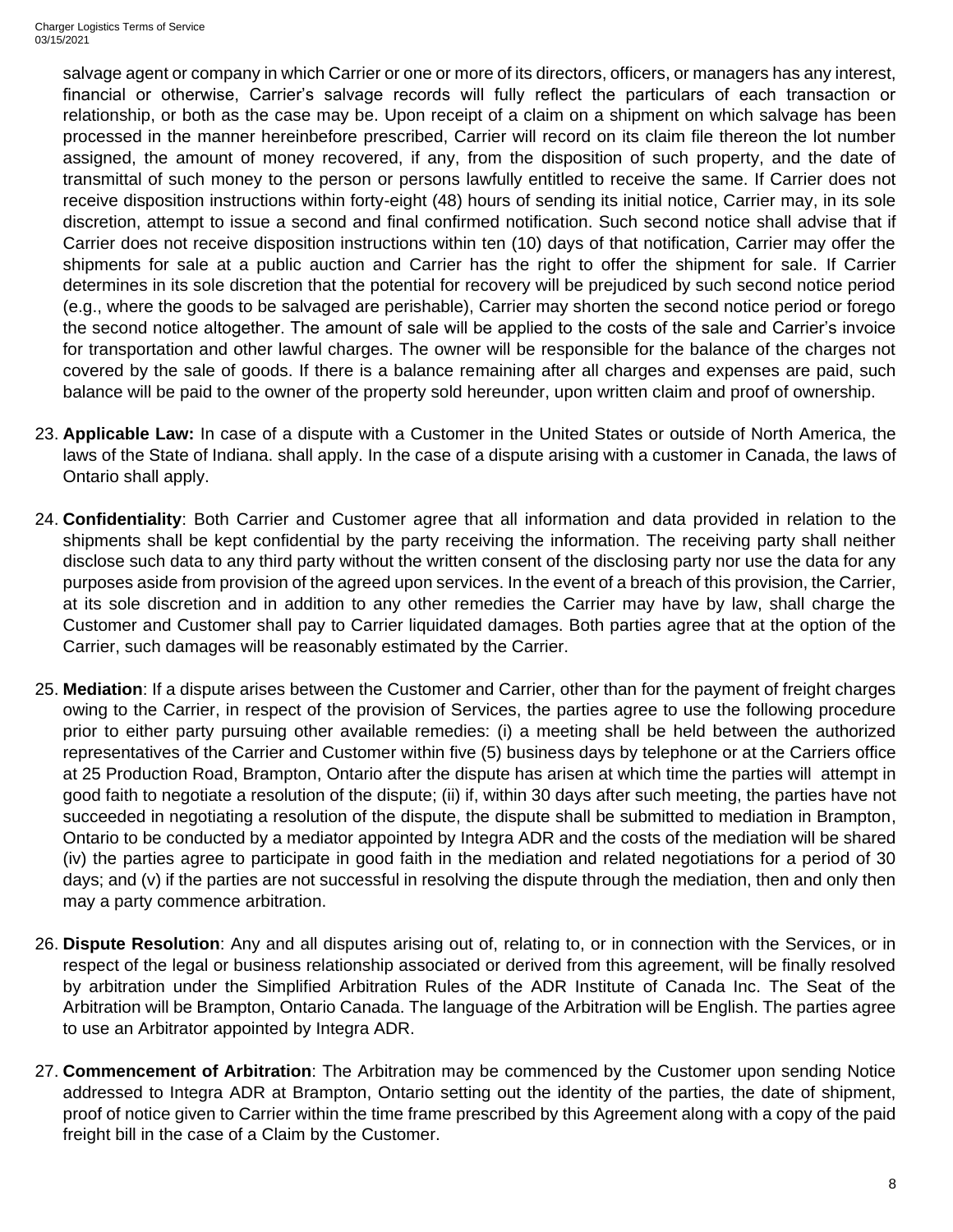salvage agent or company in which Carrier or one or more of its directors, officers, or managers has any interest, financial or otherwise, Carrier's salvage records will fully reflect the particulars of each transaction or relationship, or both as the case may be. Upon receipt of a claim on a shipment on which salvage has been processed in the manner hereinbefore prescribed, Carrier will record on its claim file thereon the lot number assigned, the amount of money recovered, if any, from the disposition of such property, and the date of transmittal of such money to the person or persons lawfully entitled to receive the same. If Carrier does not receive disposition instructions within forty-eight (48) hours of sending its initial notice, Carrier may, in its sole discretion, attempt to issue a second and final confirmed notification. Such second notice shall advise that if Carrier does not receive disposition instructions within ten (10) days of that notification, Carrier may offer the shipments for sale at a public auction and Carrier has the right to offer the shipment for sale. If Carrier determines in its sole discretion that the potential for recovery will be prejudiced by such second notice period (e.g., where the goods to be salvaged are perishable), Carrier may shorten the second notice period or forego the second notice altogether. The amount of sale will be applied to the costs of the sale and Carrier's invoice for transportation and other lawful charges. The owner will be responsible for the balance of the charges not covered by the sale of goods. If there is a balance remaining after all charges and expenses are paid, such balance will be paid to the owner of the property sold hereunder, upon written claim and proof of ownership.

- 23. **Applicable Law:** In case of a dispute with a Customer in the United States or outside of North America, the laws of the State of Indiana. shall apply. In the case of a dispute arising with a customer in Canada, the laws of Ontario shall apply.
- 24. **Confidentiality**: Both Carrier and Customer agree that all information and data provided in relation to the shipments shall be kept confidential by the party receiving the information. The receiving party shall neither disclose such data to any third party without the written consent of the disclosing party nor use the data for any purposes aside from provision of the agreed upon services. In the event of a breach of this provision, the Carrier, at its sole discretion and in addition to any other remedies the Carrier may have by law, shall charge the Customer and Customer shall pay to Carrier liquidated damages. Both parties agree that at the option of the Carrier, such damages will be reasonably estimated by the Carrier.
- 25. **Mediation**: If a dispute arises between the Customer and Carrier, other than for the payment of freight charges owing to the Carrier, in respect of the provision of Services, the parties agree to use the following procedure prior to either party pursuing other available remedies: (i) a meeting shall be held between the authorized representatives of the Carrier and Customer within five (5) business days by telephone or at the Carriers office at 25 Production Road, Brampton, Ontario after the dispute has arisen at which time the parties will attempt in good faith to negotiate a resolution of the dispute; (ii) if, within 30 days after such meeting, the parties have not succeeded in negotiating a resolution of the dispute, the dispute shall be submitted to mediation in Brampton, Ontario to be conducted by a mediator appointed by Integra ADR and the costs of the mediation will be shared (iv) the parties agree to participate in good faith in the mediation and related negotiations for a period of 30 days; and (v) if the parties are not successful in resolving the dispute through the mediation, then and only then may a party commence arbitration.
- 26. **Dispute Resolution**: Any and all disputes arising out of, relating to, or in connection with the Services, or in respect of the legal or business relationship associated or derived from this agreement, will be finally resolved by arbitration under the Simplified Arbitration Rules of the ADR Institute of Canada Inc. The Seat of the Arbitration will be Brampton, Ontario Canada. The language of the Arbitration will be English. The parties agree to use an Arbitrator appointed by Integra ADR.
- 27. **Commencement of Arbitration**: The Arbitration may be commenced by the Customer upon sending Notice addressed to Integra ADR at Brampton, Ontario setting out the identity of the parties, the date of shipment, proof of notice given to Carrier within the time frame prescribed by this Agreement along with a copy of the paid freight bill in the case of a Claim by the Customer.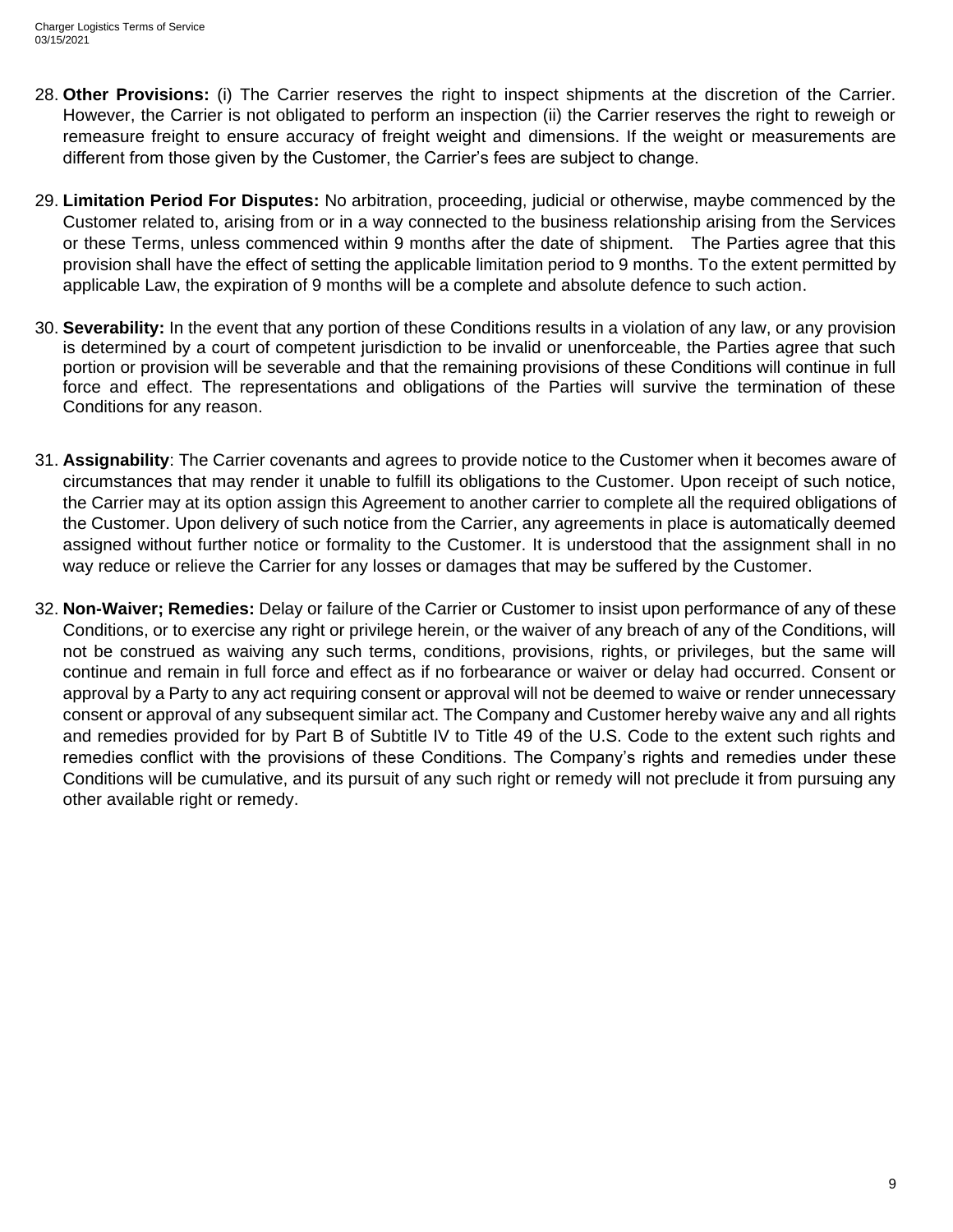- 28. **Other Provisions:** (i) The Carrier reserves the right to inspect shipments at the discretion of the Carrier. However, the Carrier is not obligated to perform an inspection (ii) the Carrier reserves the right to reweigh or remeasure freight to ensure accuracy of freight weight and dimensions. If the weight or measurements are different from those given by the Customer, the Carrier's fees are subject to change.
- 29. **Limitation Period For Disputes:** No arbitration, proceeding, judicial or otherwise, maybe commenced by the Customer related to, arising from or in a way connected to the business relationship arising from the Services or these Terms, unless commenced within 9 months after the date of shipment. The Parties agree that this provision shall have the effect of setting the applicable limitation period to 9 months. To the extent permitted by applicable Law, the expiration of 9 months will be a complete and absolute defence to such action.
- 30. **Severability:** In the event that any portion of these Conditions results in a violation of any law, or any provision is determined by a court of competent jurisdiction to be invalid or unenforceable, the Parties agree that such portion or provision will be severable and that the remaining provisions of these Conditions will continue in full force and effect. The representations and obligations of the Parties will survive the termination of these Conditions for any reason.
- 31. **Assignability**: The Carrier covenants and agrees to provide notice to the Customer when it becomes aware of circumstances that may render it unable to fulfill its obligations to the Customer. Upon receipt of such notice, the Carrier may at its option assign this Agreement to another carrier to complete all the required obligations of the Customer. Upon delivery of such notice from the Carrier, any agreements in place is automatically deemed assigned without further notice or formality to the Customer. It is understood that the assignment shall in no way reduce or relieve the Carrier for any losses or damages that may be suffered by the Customer.
- 32. **Non-Waiver; Remedies:** Delay or failure of the Carrier or Customer to insist upon performance of any of these Conditions, or to exercise any right or privilege herein, or the waiver of any breach of any of the Conditions, will not be construed as waiving any such terms, conditions, provisions, rights, or privileges, but the same will continue and remain in full force and effect as if no forbearance or waiver or delay had occurred. Consent or approval by a Party to any act requiring consent or approval will not be deemed to waive or render unnecessary consent or approval of any subsequent similar act. The Company and Customer hereby waive any and all rights and remedies provided for by Part B of Subtitle IV to Title 49 of the U.S. Code to the extent such rights and remedies conflict with the provisions of these Conditions. The Company's rights and remedies under these Conditions will be cumulative, and its pursuit of any such right or remedy will not preclude it from pursuing any other available right or remedy.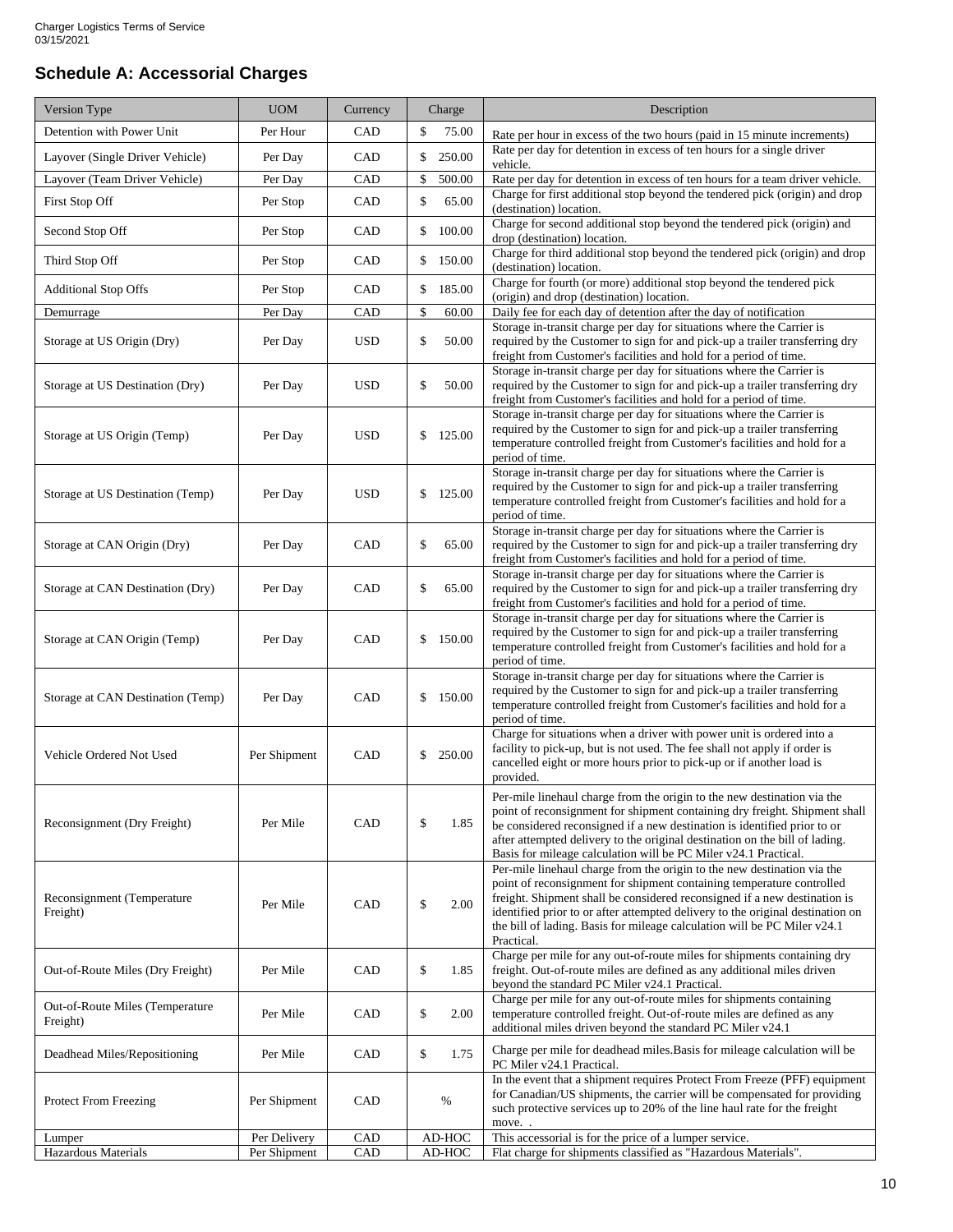## **Schedule A: Accessorial Charges**

| Version Type                                | <b>UOM</b>   | Currency   | Charge       | Description                                                                                                                                                                                                                                                                                                                                                                                               |
|---------------------------------------------|--------------|------------|--------------|-----------------------------------------------------------------------------------------------------------------------------------------------------------------------------------------------------------------------------------------------------------------------------------------------------------------------------------------------------------------------------------------------------------|
| Detention with Power Unit                   | Per Hour     | CAD        | \$<br>75.00  | Rate per hour in excess of the two hours (paid in 15 minute increments)                                                                                                                                                                                                                                                                                                                                   |
| Layover (Single Driver Vehicle)             | Per Day      | CAD        | \$<br>250.00 | Rate per day for detention in excess of ten hours for a single driver<br>vehicle.                                                                                                                                                                                                                                                                                                                         |
| Layover (Team Driver Vehicle)               | Per Day      | CAD        | 500.00<br>\$ | Rate per day for detention in excess of ten hours for a team driver vehicle.                                                                                                                                                                                                                                                                                                                              |
| First Stop Off                              | Per Stop     | CAD        | \$<br>65.00  | Charge for first additional stop beyond the tendered pick (origin) and drop<br>(destination) location.                                                                                                                                                                                                                                                                                                    |
| Second Stop Off                             | Per Stop     | CAD        | \$100.00     | Charge for second additional stop beyond the tendered pick (origin) and<br>drop (destination) location.                                                                                                                                                                                                                                                                                                   |
| Third Stop Off                              | Per Stop     | CAD        | \$150.00     | Charge for third additional stop beyond the tendered pick (origin) and drop<br>(destination) location.                                                                                                                                                                                                                                                                                                    |
| <b>Additional Stop Offs</b>                 | Per Stop     | CAD        | \$<br>185.00 | Charge for fourth (or more) additional stop beyond the tendered pick<br>(origin) and drop (destination) location.                                                                                                                                                                                                                                                                                         |
| Demurrage                                   | Per Day      | CAD        | \$<br>60.00  | Daily fee for each day of detention after the day of notification                                                                                                                                                                                                                                                                                                                                         |
| Storage at US Origin (Dry)                  | Per Day      | <b>USD</b> | \$<br>50.00  | Storage in-transit charge per day for situations where the Carrier is<br>required by the Customer to sign for and pick-up a trailer transferring dry<br>freight from Customer's facilities and hold for a period of time.                                                                                                                                                                                 |
| Storage at US Destination (Dry)             | Per Day      | <b>USD</b> | \$<br>50.00  | Storage in-transit charge per day for situations where the Carrier is<br>required by the Customer to sign for and pick-up a trailer transferring dry<br>freight from Customer's facilities and hold for a period of time.                                                                                                                                                                                 |
| Storage at US Origin (Temp)                 | Per Day      | <b>USD</b> | \$<br>125.00 | Storage in-transit charge per day for situations where the Carrier is<br>required by the Customer to sign for and pick-up a trailer transferring<br>temperature controlled freight from Customer's facilities and hold for a<br>period of time.                                                                                                                                                           |
| Storage at US Destination (Temp)            | Per Day      | <b>USD</b> | 125.00<br>\$ | Storage in-transit charge per day for situations where the Carrier is<br>required by the Customer to sign for and pick-up a trailer transferring<br>temperature controlled freight from Customer's facilities and hold for a<br>period of time.                                                                                                                                                           |
| Storage at CAN Origin (Dry)                 | Per Day      | CAD        | \$<br>65.00  | Storage in-transit charge per day for situations where the Carrier is<br>required by the Customer to sign for and pick-up a trailer transferring dry<br>freight from Customer's facilities and hold for a period of time.                                                                                                                                                                                 |
| Storage at CAN Destination (Dry)            | Per Day      | CAD        | \$<br>65.00  | Storage in-transit charge per day for situations where the Carrier is<br>required by the Customer to sign for and pick-up a trailer transferring dry<br>freight from Customer's facilities and hold for a period of time.                                                                                                                                                                                 |
| Storage at CAN Origin (Temp)                | Per Day      | CAD        | \$<br>150.00 | Storage in-transit charge per day for situations where the Carrier is<br>required by the Customer to sign for and pick-up a trailer transferring<br>temperature controlled freight from Customer's facilities and hold for a<br>period of time.                                                                                                                                                           |
| Storage at CAN Destination (Temp)           | Per Day      | CAD        | \$<br>150.00 | Storage in-transit charge per day for situations where the Carrier is<br>required by the Customer to sign for and pick-up a trailer transferring<br>temperature controlled freight from Customer's facilities and hold for a<br>period of time.                                                                                                                                                           |
| Vehicle Ordered Not Used                    | Per Shipment | CAD        | \$250.00     | Charge for situations when a driver with power unit is ordered into a<br>facility to pick-up, but is not used. The fee shall not apply if order is<br>cancelled eight or more hours prior to pick-up or if another load is<br>provided.                                                                                                                                                                   |
| Reconsignment (Dry Freight)                 | Per Mile     | CAD        | \$<br>1.85   | Per-mile linehaul charge from the origin to the new destination via the<br>point of reconsignment for shipment containing dry freight. Shipment shall<br>be considered reconsigned if a new destination is identified prior to or<br>after attempted delivery to the original destination on the bill of lading.<br>Basis for mileage calculation will be PC Miler v24.1 Practical.                       |
| Reconsignment (Temperature<br>Freight)      | Per Mile     | CAD        | \$<br>2.00   | Per-mile linehaul charge from the origin to the new destination via the<br>point of reconsignment for shipment containing temperature controlled<br>freight. Shipment shall be considered reconsigned if a new destination is<br>identified prior to or after attempted delivery to the original destination on<br>the bill of lading. Basis for mileage calculation will be PC Miler v24.1<br>Practical. |
| Out-of-Route Miles (Dry Freight)            | Per Mile     | CAD        | \$<br>1.85   | Charge per mile for any out-of-route miles for shipments containing dry<br>freight. Out-of-route miles are defined as any additional miles driven<br>beyond the standard PC Miler v24.1 Practical.                                                                                                                                                                                                        |
| Out-of-Route Miles (Temperature<br>Freight) | Per Mile     | CAD        | \$<br>2.00   | Charge per mile for any out-of-route miles for shipments containing<br>temperature controlled freight. Out-of-route miles are defined as any<br>additional miles driven beyond the standard PC Miler v24.1                                                                                                                                                                                                |
| Deadhead Miles/Repositioning                | Per Mile     | CAD        | \$<br>1.75   | Charge per mile for deadhead miles. Basis for mileage calculation will be<br>PC Miler v24.1 Practical.                                                                                                                                                                                                                                                                                                    |
| <b>Protect From Freezing</b>                | Per Shipment | CAD        | %            | In the event that a shipment requires Protect From Freeze (PFF) equipment<br>for Canadian/US shipments, the carrier will be compensated for providing<br>such protective services up to 20% of the line haul rate for the freight<br>move                                                                                                                                                                 |
| Lumper                                      | Per Delivery | CAD        | AD-HOC       | This accessorial is for the price of a lumper service.                                                                                                                                                                                                                                                                                                                                                    |
| Hazardous Materials                         | Per Shipment | CAD        | AD-HOC       | Flat charge for shipments classified as "Hazardous Materials".                                                                                                                                                                                                                                                                                                                                            |